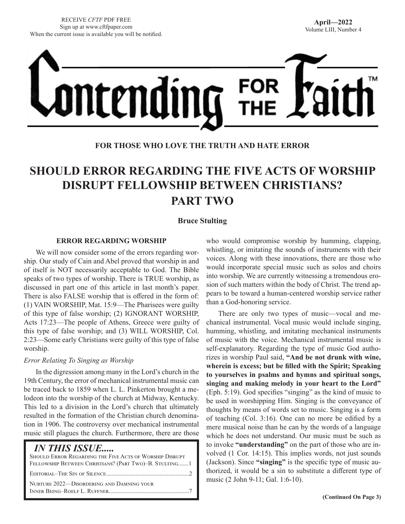

## **FOR THOSE WHO LOVE THE TRUTH AND HATE ERROR**

# **SHOULD ERROR REGARDING THE FIVE ACTS OF WORSHIP DISRUPT FELLOWSHIP BETWEEN CHRISTIANS? PART TWO**

#### **Bruce Stulting**

#### **ERROR REGARDING WORSHIP**

We will now consider some of the errors regarding worship. Our study of Cain and Abel proved that worship in and of itself is NOT necessarily acceptable to God. The Bible speaks of two types of worship. There is TRUE worship, as discussed in part one of this article in last month's paper. There is also FALSE worship that is offered in the form of: (1) VAIN WORSHIP, Mat. 15:9—The Pharisees were guilty of this type of false worship; (2) IGNORANT WORSHIP, Acts 17:23—The people of Athens, Greece were guilty of this type of false worship; and (3) WILL WORSHIP, Col. 2:23—Some early Christians were guilty of this type of false worship.

#### *Error Relating To Singing as Worship*

In the digression among many in the Lord's church in the 19th Century, the error of mechanical instrumental music can be traced back to 1859 when L. L. Pinkerton brought a melodeon into the worship of the church at Midway, Kentucky. This led to a division in the Lord's church that ultimately resulted in the formation of the Christian church denomination in 1906. The controversy over mechanical instrumental music still plagues the church. Furthermore, there are those

## *IN THIS ISSUE.....*

| SHOULD ERROR REGARDING THE FIVE ACTS OF WORSHIP DISRUPT<br>FELLOWSHIP BETWEEN CHRISTIANS? (PART TWO)-B. STULTING1 |
|-------------------------------------------------------------------------------------------------------------------|
|                                                                                                                   |
| NURTURE 2022—DISORDERING AND DAMNING YOUR                                                                         |

who would compromise worship by humming, clapping, whistling, or imitating the sounds of instruments with their voices. Along with these innovations, there are those who would incorporate special music such as solos and choirs into worship. We are currently witnessing a tremendous erosion of such matters within the body of Christ. The trend appears to be toward a human-centered worship service rather than a God-honoring service.

There are only two types of music—vocal and mechanical instrumental. Vocal music would include singing, humming, whistling, and imitating mechanical instruments of music with the voice. Mechanical instrumental music is self-explanatory. Regarding the type of music God authorizes in worship Paul said, **"And be not drunk with wine, wherein is excess; but be filled with the Spirit; Speaking to yourselves in psalms and hymns and spiritual songs, singing and making melody in your heart to the Lord"** (Eph. 5:19). God specifies "singing" as the kind of music to be used in worshipping Him. Singing is the conveyance of thoughts by means of words set to music. Singing is a form of teaching (Col. 3:16). One can no more be edified by a mere musical noise than he can by the words of a language which he does not understand. Our music must be such as to invoke **"understanding"** on the part of those who are involved (1 Cor. 14:15). This implies words, not just sounds (Jackson). Since **"singing"** is the specific type of music authorized, it would be a sin to substitute a different type of music (2 John 9-11; Gal. 1:6-10).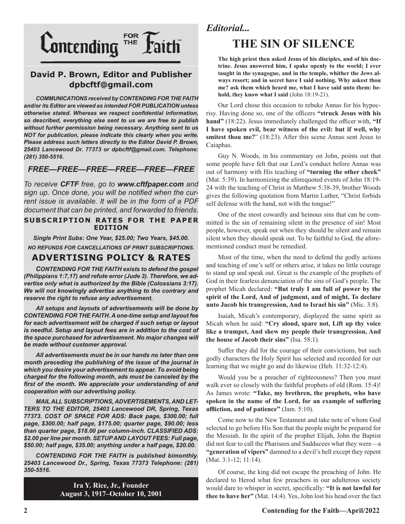

## **David P. Brown, Editor and Publisher dpbcftf@gmail.com**

*COMMUNICATIONS received by CONTENDING FOR THE FAITH and/or its Editor are viewed as intended FOR PUBLICATION unless otherwise stated. Whereas we respect confidential information, so described, everything else sent to us we are free to publish without further permission being necessary. Anything sent to us NOT for publication, please indicate this clearly when you write. Please address such letters directly to the Editor David P. Brown, 25403 Lancewood Dr. 77373 or dpbcftf@gmail.com. Telephone: (281) 350-5516.*

## *FREE—FREE—FREE—FREE—FREE—FREE*

*To receive CFTF free, go to www.cftfpaper.com and sign up. Once done, you will be notified when the current issue is available. It will be in the form of a PDF document that can be printed, and forwarded to friends.*

#### **SUBSCRIPTION RATES FOR THE PAPER EDITION**

*Single Print Subs: One Year, \$25.00; Two Years, \$45.00. NO REFUNDS FOR CANCELLATIONS OF PRINT SUBSCRIPTIONS.*

## **ADVERTISING POLICY & RATES**

*CONTENDING FOR THE FAITH exists to defend the gospel (Philippians 1:7,17) and refute error (Jude 3). Therefore, we advertise only what is authorized by the Bible (Colossians 3:17). We will not knowingly advertise anything to the contrary and reserve the right to refuse any advertisement.*

*All setups and layouts of advertisements will be done by CONTENDING FOR THE FAITH. A one-time setup and layout fee for each advertisement will be charged if such setup or layout*  is needful. Setup and layout fees are in addition to the cost of *the space purchased for advertisement. No major changes will be made without customer approval.*

*All advertisements must be in our hands no later than one month preceding the publishing of the issue of the journal in which you desire your advertisement to appear. To avoid being charged for the following month, ads must be canceled by the first of the month. We appreciate your understanding of and cooperation with our advertising policy.*

*MAIL ALL SUBSCRIPTIONS, ADVERTISEMENTS, AND LET-TERS TO THE EDITOR, 25403 Lancewood DR, Spring, Texas 77373. COST OF SPACE FOR ADS: Back page, \$300.00; full page, \$300.00; half page, \$175.00; quarter page, \$90.00; less than quarter page, \$18.00 per column-inch. CLASSIFIED ADS: \$2.00 per line per month. SETUP AND LAYOUT FEES: Full page, \$50.00; half page, \$35.00; anything under a half page, \$20.00.*

*CONTENDING FOR THE FAITH is published bimonthly. 25403 Lancewood Dr., Spring, Texas 77373 Telephone: (281) 350-5516.*

> **Ira Y. Rice, Jr., Founder August 3, 1917–October 10, 2001**

## *Editorial...*

## **THE SIN OF SILENCE**

**The high priest then asked Jesus of his disciples, and of his doctrine. Jesus answered him, I spake openly to the world; I ever taught in the synagogue, and in the temple, whither the Jews always resort; and in secret have I said nothing. Why askest thou me? ask them which heard me, what I have said unto them: behold, they know what I said** (John 18:19-21).

Our Lord chose this occasion to rebuke Annas for his hypocrisy. Having done so, one of the officers **"struck Jesus with his hand"** (18:22). Jesus immediately challenged the officer with, **"If I have spoken evil, bear witness of the evil: but if well, why smitest thou me?**" (18:23). After this scene Annas sent Jesus to Caiaphas.

Guy N. Woods, in his commentary on John, points out that some people have felt that our Lord's conduct before Annas was out of harmony with His teaching of **"turning the other cheek"** (Mat. 5:39). In harmonizing the aforequoted events of John 18:19- 24 with the teaching of Christ in Matthew 5:38-39, brother Woods gives the following quotation from Martin Luther, "Christ forbids self defense with the hand, not with the tongue!"

One of the most cowardly and heinous sins that can be committed is the sin of remaining silent in the presence of sin! Most people, however, speak out when they should be silent and remain silent when they should speak out. To be faithful to God, the aforementioned conduct must be remedied.

Most of the time, when the need to defend the godly actions and teaching of one's self or others arise, it takes no little courage to stand up and speak out. Great is the example of the prophets of God in their fearless denunciation of the sins of God's people. The prophet Micah declared: **"But truly I am full of power by the spirit of the Lord, And of judgment, and of might, To declare unto Jacob his transgression, And to Israel his sin"** (Mic. 3:8).

Isaiah, Micah's contemporary, displayed the same spirit as Micah when he said: **"Cry aloud, spare not, Lift up thy voice like a trumpet, And shew my people their transgression, And the house of Jacob their sins"** (Isa. 58:1).

Suffer they did for the courage of their convictions, but such godly characters the Holy Spirit has selected and recorded for our learning that we might go and do likewise (Heb. 11:32-12:4).

Would you be a preacher of righteousness? Then you must walk ever so closely with the faithful prophets of old (Rom. 15:4)! As James wrote: **"Take, my brethren, the prophets, who have spoken in the name of the Lord, for an example of suffering affliction, and of patience"** (Jam. 5:10).

Come now to the New Testament and take note of whom God selected to go before His Son that the people might be prepared for the Messiah. In the spirit of the prophet Elijah, John the Baptist did not fear to call the Pharisees and Sadducees what they were—a **"generation of vipers"** damned to a devil's hell except they repent (Mat. 3:1-12; 11:14).

Of course, the king did not escape the preaching of John. He declared to Herod what few preachers in our adulterous society would dare to whisper in secret, specifically: **"It is not lawful for thee to have her"** (Mat. 14:4). Yes, John lost his head over the fact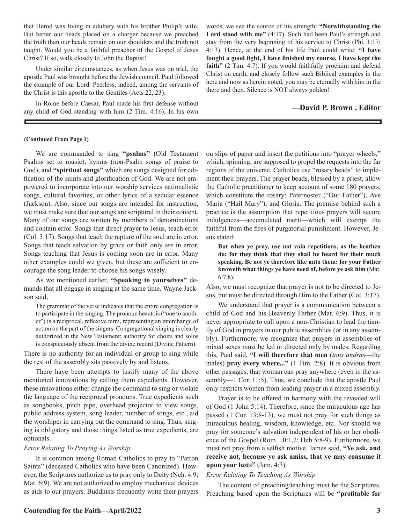that Herod was living in adultery with his brother Philip's wife. But better our heads placed on a charger because we preached the truth than our heads remain on our shoulders and the truth not taught. Would you be a faithful preacher of the Gospel of Jesus Christ? If so, walk closely to John the Baptist!

Under similar circumstances, as when Jesus was on trial, the apostle Paul was brought before the Jewish council. Paul followed the example of our Lord. Peerless, indeed, among the servants of the Christ is this apostle to the Gentiles (Acts 22, 23).

In Rome before Caesar, Paul made his first defense without any child of God standing with him (2 Tim. 4:16). In his own

words, we see the source of his strength: **"Notwithstanding the**  Lord stood with me" (4:17). Such had been Paul's strength and stay from the very beginning of his service to Christ (Phi. 1:17; 4:13). Hence, at the end of his life Paul could write: **"I have fought a good fight, I have finished my course, I have kept the faith"** (2 Tim. 4:7). If you would faithfully proclaim and defend Christ on earth, and closely follow such Biblical examples in the here and now as herein noted, you may be eternally with him in the there and then. Silence is NOT always golden!

#### **—David P. Brown , Editor**

#### **(Continued From Page 1)**

We are commanded to sing **"psalms"** (Old Testament Psalms set to music), hymns (non-Psalm songs of praise to God), and **"spiritual songs"** which are songs designed for edification of the saints and glorification of God. We are not empowered to incorporate into our worship services nationalistic songs, cultural favorites, or other lyrics of a secular essence (Jackson). Also, since our songs are intended for instruction, we must make sure that our songs are scriptural in their content. Many of our songs are written by members of denominations and contain error. Songs that direct prayer to Jesus, teach error (Col. 3:17). Songs that teach the rapture of the soul are in error. Songs that teach salvation by grace or faith only are in error. Songs teaching that Jesus is coming soon are in error. Many other examples could we given, but these are sufficient to encourage the song leader to choose his songs wisely.

As we mentioned earlier, **"Speaking to yourselves"** demands that all engage in singing at the same time. Wayne Jackson said,

The grammar of the verse indicates that the entire congregation is to participate in the singing. The pronoun heautois ("one to another") is a reciprocal, reflexive term, representing an interchange of action on the part of the singers. Congregational singing is clearly authorized in the New Testament; authority for choirs and solos is conspicuously absent from the divine record (Divine Pattern).

There is no authority for an individual or group to sing while the rest of the assembly sits passively by and listens.

There have been attempts to justify many of the above mentioned innovations by calling them expedients. However, these innovations either change the command to sing or violate the language of the reciprocal pronouns. True expedients such as songbooks, pitch pipe, overhead projector to view songs, public address system, song leader, number of songs, etc., aid the worshiper in carrying out the command to sing. Thus, singing is obligatory and those things listed as true expedients, are optionals.

#### *Error Relating To Praying As Worship*

It is common among Roman Catholics to pray to "Patron Saints" (deceased Catholics who have been Canonized). However, the Scriptures authorize us to pray only to Deity (Neh. 4:9; Mat. 6:9). We are not authorized to employ mechanical devices as aids to our prayers. Buddhists frequently write their prayers on slips of paper and insert the petitions into "prayer wheels," which, spinning, are supposed to propel the requests into the far regions of the universe. Catholics use "rosary beads" to implement their prayers. The prayer beads, blessed by a priest, allow the Catholic practitioner to keep account of some 180 prayers, which constitute the rosary: Paternoster ("Our Father"), Ave Maria ("Hail Mary"), and Gloria. The premise behind such a practice is the assumption that repetitious prayers will secure indulgences—accumulated merit—which will exempt the faithful from the fires of purgatorial punishment. However, Jesus stated:

**But when ye pray, use not vain repetitions, as the heathen do: for they think that they shall be heard for their much speaking. Be not ye therefore like unto them: for your Father knoweth what things ye have need of, before ye ask him** (Mat. 6:7,8).

Also, we must recognize that prayer is not to be directed to Jesus, but must be directed through Him to the Father (Col. 3:17).

We understand that prayer is a communication between a child of God and his Heavenly Father (Mat. 6:9). Thus, it is never appropriate to call upon a non-Christian to lead the family of God in prayers in our public assemblies (or in any assembly). Furthermore, we recognize that prayers in assemblies of mixed sexes must be led or directed only by males. Regarding this, Paul said, **"I will therefore that men** (*tous andras*—the males) **pray every where..."** (1 Tim. 2:8). It is obvious from other passages, that woman can pray anywhere (even in the assembly—1 Cor. 11:5). Thus, we conclude that the apostle Paul only restricts women from leading prayer in a mixed assembly.

Prayer is to be offered in harmony with the revealed will of God (1 John 5:14). Therefore, since the miraculous age has passed (1 Cor. 13:8-13), we must not pray for such things as miraculous healing, wisdom, knowledge, etc. Nor should we pray for someone's salvation independent of his or her obedience of the Gospel (Rom. 10:1,2; Heb 5:8-9). Furthermore, we must not pray from a selfish motive. James said, **"Ye ask, and receive not, because ye ask amiss, that ye may consume it upon your lusts"** (Jam. 4:3).

#### *Error Relating To Teaching As Worship*

The content of preaching/teaching must be the Scriptures. Preaching based upon the Scriptures will be **"profitable for**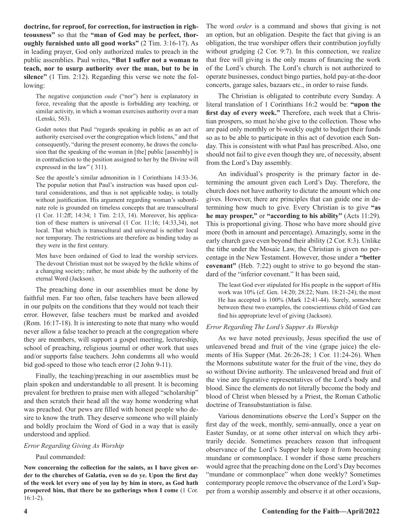**doctrine, for reproof, for correction, for instruction in righteousness"** so that the **"man of God may be perfect, thoroughly furnished unto all good works"** (2 Tim. 3:16-17). As in leading prayer, God only authorized males to preach in the public assemblies. Paul writes, **"But I suffer not a woman to teach, nor to usurp authority over the man, but to be in silence"** (1 Tim. 2:12). Regarding this verse we note the following:

The negative conjunction *oude* ("nor") here is explanatory in force, revealing that the apostle is forbidding any teaching, or similar activity, in which a woman exercises authority over a man (Lenski, 563).

Godet notes that Paul "regards speaking in public as an act of authority exercised over the congregation which listens," and that consequently, "during the present economy, he draws the conclusion that the speaking of the woman in [the] public [assembly] is in contradiction to the position assigned to her by the Divine will expressed in the law" (311).

See the apostle's similar admonition in 1 Corinthians 14:33-36. The popular notion that Paul's instruction was based upon cultural considerations, and thus is not applicable today, is totally without justification. His argument regarding woman's subordinate role is grounded on timeless concepts that are transcultural (1 Cor. 11:2ff; 14:34; 1 Tim. 2:13, 14). Moreover, his application of these matters is universal (1 Cor. 11:16; 14:33,34), not local. That which is transcultural and universal is neither local nor temporary. The restrictions are therefore as binding today as they were in the first century.

Men have been ordained of God to lead the worship services. The devout Christian must not be swayed by the fickle whims of a changing society; rather, he must abide by the authority of the eternal Word (Jackson).

The preaching done in our assemblies must be done by faithful men. Far too often, false teachers have been allowed in our pulpits on the conditions that they would not teach their error. However, false teachers must be marked and avoided (Rom. 16:17-18). It is interesting to note that many who would never allow a false teacher to preach at the congregation where they are members, will support a gospel meeting, lectureship, school of preaching, religious journal or other work that uses and/or supports false teachers. John condemns all who would bid god-speed to those who teach error (2 John 9-11).

Finally, the teaching/preaching in our assemblies must be plain spoken and understandable to all present. It is becoming prevalent for brethren to praise men with alleged "scholarship" and then scratch their head all the way home wondering what was preached. Our pews are filled with honest people who desire to know the truth. They deserve someone who will plainly and boldly proclaim the Word of God in a way that is easily understood and applied.

#### *Error Regarding Giving As Worship*

#### Paul commanded:

**Now concerning the collection for** t**he saints, as I have given order to the churches of Galatia, even so do ye. Upon the first day of the week let every one of you lay by him in store, as God hath prospered him, that there be no gatherings when I come** (1 Cor. 16:1-2).

The word *order* is a command and shows that giving is not an option, but an obligation. Despite the fact that giving is an obligation, the true worshiper offers their contribution joyfully without grudging (2 Cor. 9:7). In this connection, we realize that free will giving is the only means of financing the work of the Lord's church. The Lord's church is not authorized to operate businesses, conduct bingo parties, hold pay-at-the-door concerts, garage sales, bazaars etc., in order to raise funds.

The Christian is obligated to contribute every Sunday. A literal translation of 1 Corinthians 16:2 would be: **"upon the first day of every week."** Therefore, each week that a Christian prospers, so must he/she give to the collection. Those who are paid only monthly or bi-weekly ought to budget their funds so as to be able to participate in this act of devotion each Sunday. This is consistent with what Paul has prescribed. Also, one should not fail to give even though they are, of necessity, absent from the Lord's Day assembly.

An individual's prosperity is the primary factor in determining the amount given each Lord's Day. Therefore, the church does not have authority to dictate the amount which one gives. However, there are principles that can guide one in determining how much to give. Every Christian is to give **"as he may prosper,"** or **"according to his ability"** (Acts 11:29). This is proportional giving. Those who have more should give more (both in amount and percentage). Amazingly, some in the early church gave even beyond their ability (2 Cor. 8:3). Unlike the tithe under the Mosaic Law, the Christian is given no percentage in the New Testament. However, those under a **"better covenant"** (Heb. 7:22) ought to strive to go beyond the standard of the "inferior covenant." It has been said,

The least God ever stipulated for His people in the support of His work was 10% (cf. Gen. 14:20; 28:22; Num. 18:21-24); the most He has accepted is 100% (Mark 12:41-44). Surely, somewhere between these two examples, the conscientious child of God can find his appropriate level of giving (Jackson).

#### *Error Regarding The Lord's Supper As Worship*

As we have noted previously, Jesus specified the use of unleavened bread and fruit of the vine (grape juice) the elements of His Supper (Mat. 26:26-28; 1 Cor. 11:24-26). When the Mormons substitute water for the fruit of the vine, they do so without Divine authority. The unleavened bread and fruit of the vine are figurative representatives of the Lord's body and blood. Since the elements do not literally become the body and blood of Christ when blessed by a Priest, the Roman Catholic doctrine of Transubstantiation is false.

Various denominations observe the Lord's Supper on the first day of the week, monthly, semi-annually, once a year on Easter Sunday, or at some other interval on which they arbitrarily decide. Sometimes preachers reason that infrequent observance of the Lord's Supper help keep it from becoming mundane or commonplace. I wonder if those same preachers would agree that the preaching done on the Lord's Day becomes "mundane or commonplace" when done weekly? Sometimes contemporary people remove the observance of the Lord's Supper from a worship assembly and observe it at other occasions,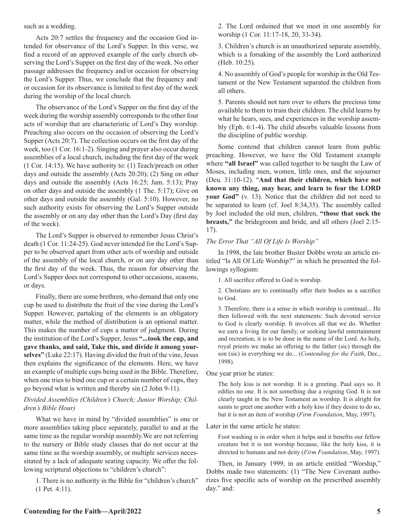such as a wedding.

Acts 20:7 settles the frequency and the occasion God intended for observance of the Lord's Supper. In this verse, we find a record of an approved example of the early church observing the Lord's Supper on the first day of the week. No other passage addresses the frequency and/or occasion for observing the Lord's Supper. Thus, we conclude that the frequency and/ or occasion for its observance is limited to first day of the week during the worship of the local church.

The observance of the Lord's Supper on the first day of the week during the worship assembly corresponds to the other four acts of worship that are characteristic of Lord's Day worship. Preaching also occurs on the occasion of observing the Lord's Supper (Acts 20:7). The collection occurs on the first day of the week, too (1 Cor. 16:1-2). Singing and prayer also occur during assemblies of a local church, including the first day of the week (1 Cor. 14:15). We have authority to: (1) Teach/preach on other days and outside the assembly (Acts 20:20); (2) Sing on other days and outside the assembly (Acts 16:25; Jam. 5:13); Pray on other days and outside the assembly (1 The. 5:17); Give on other days and outside the assembly (Gal. 5:10). However, no such authority exists for observing the Lord's Supper outside the assembly or on any day other than the Lord's Day (first day of the week).

The Lord's Supper is observed to remember Jesus Christ's death (1 Cor. 11:24-25). God never intended for the Lord's Supper to be observed apart from other acts of worship and outside of the assembly of the local church, or on any day other than the first day of the week. Thus, the reason for observing the Lord's Supper does not correspond to other occasions, seasons, or days.

Finally, there are some brethren, who demand that only one cup be used to distribute the fruit of the vine during the Lord's Supper. However, partaking of the elements is an obligatory matter, while the method of distribution is an optional matter. This makes the number of cups a matter of judgment. During the institution of the Lord's Supper, Jesus **"...took the cup, and gave thanks, and said, Take this, and divide it among yourselves"** (Luke 22:17). Having divided the fruit of the vine, Jesus then explains the significance of the elements. Here, we have an example of multiple cups being used in the Bible. Therefore, when one tries to bind one cup or a certain number of cups, they go beyond what is written and thereby sin (2 John 9-11).

#### *Divided Assemblies (Children's Church; Junior Worship; Children's Bible Hour)*

What we have in mind by "divided assemblies" is one or more assemblies taking place separately, parallel to and at the same time as the regular worship assembly.We are not referring to the nursery or Bible study classes that do not occur at the same time as the worship assembly, or multiple services necessitated by a lack of adequate seating capacity. We offer the following scriptural objections to "children's church":

1. There is no authority in the Bible for "children's church" (1 Pet. 4:11).

2. The Lord ordained that we meet in one assembly for worship (1 Cor. 11:17-18, 20, 33-34).

3. Children's church is an unauthorized separate assembly, which is a forsaking of the assembly the Lord authorized (Heb. 10:25).

4. No assembly of God's people for worship in the Old Testament or the New Testament separated the children from all others.

5. Parents should not turn over to others the precious time available to them to train their children. The child learns by what he hears, sees, and experiences in the worship assembly (Eph. 6:1-4). The child absorbs valuable lessons from the discipline of public worship.

Some contend that children cannot learn from public preaching. However, we have the Old Testament example where **"all Israel"** was called together to be taught the Law of Moses, including men, women, little ones, and the sojourner (Deu. 31:10-12). "**And that their children, which have not known any thing, may hear, and learn to fear the LORD your God"** (v. 13). Notice that the children did not need to be separated to learn (cf. Joel 8:34,35). The assembly called by Joel included the old men, children, **"those that suck the breasts,"** the bridegroom and bride, and all others (Joel 2:15- 17).

#### *The Error That "All Of Life Is Worship"*

In 1998, the late brother Buster Dobbs wrote an article entitled "Is All Of Life Worship?" in which he presented the followings syllogism:

1. All sacrifice offered to God is worship.

2. Christians are to continually offer their bodies as a sacrifice to God.

3. Therefore, there is a sense in which worship is continual... He then followed with the next statements: Such devoted service to God is clearly worship. It involves all that we do. Whether we earn a living for our family, or seeking lawful entertainment and recreation, it is to be done in the name of the Lord. As holy, royal priests we make an offering to the father (sic) through the son (sic) in everything we do... (*Contending for the Faith*, Dec., 1998).

One year prior he states:

The holy kiss is not worship. It is a greeting. Paul says so. It edifies no one. It is not something due a reigning God. It is not clearly taught in the New Testament as worship. It is alright for saints to greet one another with a holy kiss if they desire to do so, but it is not an item of worship (*Firm Foundation*, May, 1997).

Later in the same article he states:

Foot washing is in order when it helps and it benefits our fellow creature but it is not worship because, like the holy kiss, it is directed to humans and not deity (*Firm Foundation*, May, 1997).

Then, in January 1999, in an article entitled "Worship," Dobbs made two statements: (1) "The New Covenant authorizes five specific acts of worship on the prescribed assembly day." and: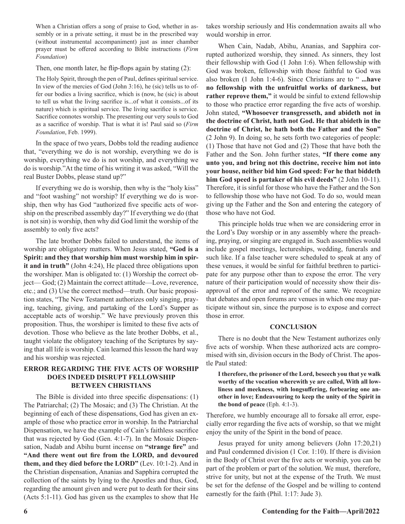When a Christian offers a song of praise to God, whether in assembly or in a private setting, it must be in the prescribed way (without instrumental accompaniment) just as inner chamber prayer must be offered according to Bible instructions (*Firm Foundation*)

Then, one month later, he flip-flops again by stating (2):

The Holy Spirit, through the pen of Paul, defines spiritual service. In view of the mercies of God (John 3:16), he (sic) tells us to offer our bodies a living sacrifice, which is (now, he (sic) is about to tell us what the living sacrifice is...of what it consists...of its nature) which is spiritual service. The living sacrifice is service. Sacrifice connotes worship. The presenting our very souls to God as a sacrifice of worship. That is what it is! Paul said so (*Firm Foundation*, Feb. 1999).

In the space of two years, Dobbs told the reading audience that, "everything we do is not worship, everything we do is worship, everything we do is not worship, and everything we do is worship."At the time of his writing it was asked, "Will the real Buster Dobbs, please stand up?"

If everything we do is worship, then why is the "holy kiss" and "foot washing" not worship? If everything we do is worship, then why has God "authorized five specific acts of worship on the prescribed assembly day?" If everything we do (that is not sin) is worship, then why did God limit the worship of the assembly to only five acts?

The late brother Dobbs failed to understand, the items of worship are obligatory matters. When Jesus stated, **"God is a Spirit: and they that worship him must worship him in spirit and in truth"** (John 4:24), He placed three obligations upon the worshiper. Man is obligated to: (1) Worship the correct object— God; (2) Maintain the correct attitude—Love, reverence, etc.; and (3) Use the correct method—truth. Our basic proposition states, "The New Testament authorizes only singing, praying, teaching, giving, and partaking of the Lord's Supper as acceptable acts of worship." We have previously proven this proposition. Thus, the worshiper is limited to these five acts of devotion. Those who believe as the late brother Dobbs, et al., taught violate the obligatory teaching of the Scriptures by saying that all life is worship. Cain learned this lesson the hard way and his worship was rejected.

#### **ERROR REGARDING THE FIVE ACTS OF WORSHIP DOES INDEED DISRUPT FELLOWSHIP BETWEEN CHRISTIANS**

The Bible is divided into three specific dispensations: (1) The Patriarchal; (2) The Mosaic; and (3) The Christian. At the beginning of each of these dispensations, God has given an example of those who practice error in worship. In the Patriarchal Dispensation, we have the example of Cain's faithless sacrifice that was rejected by God (Gen. 4:1-7). In the Mosaic Dispensation, Nadab and Abihu burnt incense on **"strange fire"** and **"And there went out fire from the LORD, and devoured them, and they died before the LORD"** (Lev. 10:1-2). And in the Christian dispensation, Ananias and Sapphira corrupted the collection of the saints by lying to the Apostles and thus, God, regarding the amount given and were put to death for their sins (Acts 5:1-11). God has given us the examples to show that He

takes worship seriously and His condemnation awaits all who would worship in error.

When Cain, Nadab, Abihu, Ananias, and Sapphira corrupted authorized worship, they sinned. As sinners, they lost their fellowship with God (1 John 1:6). When fellowship with God was broken, fellowship with those faithful to God was also broken (1 John 1:4-6). Since Christians are to " **...have no fellowship with the unfruitful works of darkness, but rather reprove them,"** it would be sinful to extend fellowship to those who practice error regarding the five acts of worship. John stated, **"Whosoever transgresseth, and abideth not in the doctrine of Christ, hath not God. He that abideth in the doctrine of Christ, he hath both the Father and the Son"** (2 John 9). In doing so, he sets forth two categories of people: (1) Those that have not God and (2) Those that have both the Father and the Son. John further states, **"If there come any unto you, and bring not this doctrine, receive him not into your house, neither bid him God speed: For he that biddeth him God speed is partaker of his evil deeds"** (2 John 10-11). Therefore, it is sinful for those who have the Father and the Son to fellowship those who have not God. To do so, would mean giving up the Father and the Son and entering the category of those who have not God.

This principle holds true when we are considering error in the Lord's Day worship or in any assembly where the preaching, praying, or singing are engaged in. Such assemblies would include gospel meetings, lectureships, wedding, funerals and such like. If a false teacher were scheduled to speak at any of these venues, it would be sinful for faithful brethren to participate for any purpose other than to expose the error. The very nature of their participation would of necessity show their disapproval of the error and reproof of the same. We recognize that debates and open forums are venues in which one may participate without sin, since the purpose is to expose and correct those in error.

#### **CONCLUSION**

There is no doubt that the New Testament authorizes only five acts of worship. When these authorized acts are compromised with sin, division occurs in the Body of Christ. The apostle Paul stated:

**I therefore, the prisoner of the Lord, beseech you that ye walk worthy of the vocation wherewith ye are called, With all lowliness and meekness, with longsuffering, forbearing one another in love; Endeavouring to keep the unity of the Spirit in the bond of peace** (Eph. 4:1-3).

Therefore, we humbly encourage all to forsake all error, especially error regarding the five acts of worship, so that we might enjoy the unity of the Spirit in the bond of peace.

Jesus prayed for unity among believers (John 17:20,21) and Paul condemned division (1 Cor. 1:10). If there is division in the Body of Christ over the five acts or worship, you can be part of the problem or part of the solution. We must, therefore, strive for unity, but not at the expense of the Truth. We must be set for the defense of the Gospel and be willing to contend earnestly for the faith (Phil. 1:17: Jude 3).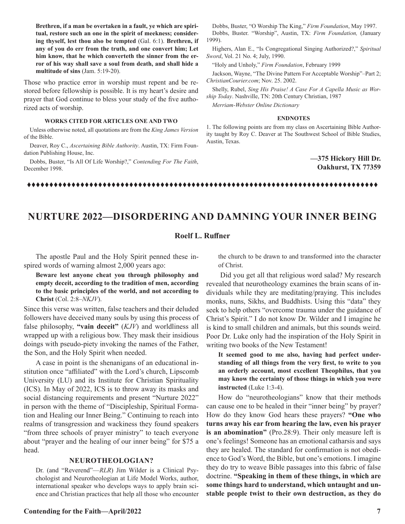**Brethren, if a man be overtaken in a fault, ye which are spiritual, restore such an one in the spirit of meekness; considering thyself, lest thou also be tempted** (Gal. 6:1). **Brethren, if any of you do err from the truth, and one convert him; Let him know, that he which converteth the sinner from the error of his way shall save a soul from death, and shall hide a multitude of sins** (Jam. 5:19-20).

Those who practice error in worship must repent and be restored before fellowship is possible. It is my heart's desire and prayer that God continue to bless your study of the five authorized acts of worship.

#### **WORKS CITED FOR ARTICLES ONE AND TWO**

Unless otherwise noted, all quotations are from the *King James Version* of the Bible.

Deaver, Roy C., *Ascertaining Bible Authority*. Austin, TX: Firm Foundation Publishing House, Inc.

Dobbs, Buster, "Is All Of Life Worship?," *Contending For The Faith*, December 1998.

Dobbs, Buster, "O Worship The King," *Firm Foundation*, May 1997. Dobbs, Buster. "Worship", Austin, TX: *Firm Foundation,* (January 1999).

Highers, Alan E., "Is Congregational Singing Authorized?," *Spiritual Sword*, Vol. 21 No. 4; July, 1990.

"Holy and Unholy," *Firm Foundation*, February 1999

Jackson, Wayne, "The Divine Pattern For Acceptable Worship"–Part 2; *ChristianCourier.com*; Nov. 25. 2002.

Shelly, Rubel, *Sing His Praise! A Case For A Capella Music as Worship Today*. Nashville, TN: 20th Century Christian, 1987

*Merriam-Webster Online Dictionary*

#### **ENDNOTES**

1. The following points are from my class on Ascertaining Bible Authority taught by Roy C. Deaver at The Southwest School of Bible Studies, Austin, Texas.

#### **—375 Hickory Hill Dr. Oakhurst, TX 77359**

### ttttttttttttttttttttttttttttttttttttttttttttttttttttttttttttttttttttttttttttttt

## **NURTURE 2022—DISORDERING AND DAMNING YOUR INNER BEING**

#### **Roelf L. Ruffner**

The apostle Paul and the Holy Spirit penned these inspired words of warning almost 2,000 years ago:

**Beware lest anyone cheat you through philosophy and empty deceit, according to the tradition of men, according to the basic principles of the world, and not according to Christ** (Col. 2:8–*NKJV*).

Since this verse was written, false teachers and their deluded followers have deceived many souls by using this process of false philosophy, **"vain deceit"** (*KJV*) and worldliness all wrapped up with a religious bow. They mask their insidious doings with pseudo-piety invoking the names of the Father, the Son, and the Holy Spirit when needed.

A case in point is the shenanigans of an educational institution once "affiliated" with the Lord's church, Lipscomb University (LU) and its Institute for Christian Spirituality (ICS). In May of 2022, ICS is to throw away its masks and social distancing requirements and present "Nurture 2022" in person with the theme of "Discipleship, Spiritual Formation and Healing our Inner Being." Continuing to reach into realms of transgression and wackiness they found speakers "from three schools of prayer ministry" to teach everyone about "prayer and the healing of our inner being" for \$75 a head.

#### **NEUROTHEOLOGIAN?**

Dr. (and "Reverend"—*RLR*) Jim Wilder is a Clinical Psychologist and Neurotheologian at Life Model Works, author, international speaker who develops ways to apply brain science and Christian practices that help all those who encounter

**Contending for the Faith—April/2022** 7

the church to be drawn to and transformed into the character of Christ.

 Did you get all that religious word salad? My research revealed that neurotheology examines the brain scans of individuals while they are meditating/praying. This includes monks, nuns, Sikhs, and Buddhists. Using this "data" they seek to help others "overcome trauma under the guidance of Christ's Spirit." I do not know Dr. Wilder and I imagine he is kind to small children and animals, but this sounds weird. Poor Dr. Luke only had the inspiration of the Holy Spirit in writing two books of the New Testament!

**It seemed good to me also, having had perfect understanding of all things from the very first, to write to you an orderly account, most excellent Theophilus, that you may know the certainty of those things in which you were instructed** (Luke 1:3-4).

How do "neurotheologians" know that their methods can cause one to be healed in their "inner being" by prayer? How do they know God hears these prayers? **"One who turns away his ear from hearing the law, even his prayer is an abomination"** (Pro.28:9). Their only measure left is one's feelings! Someone has an emotional catharsis and says they are healed. The standard for confirmation is not obedience to God's Word, the Bible, but one's emotions. I imagine they do try to weave Bible passages into this fabric of false doctrine. **"Speaking in them of these things, in which are some things hard to understand, which untaught and unstable people twist to their own destruction, as they do**